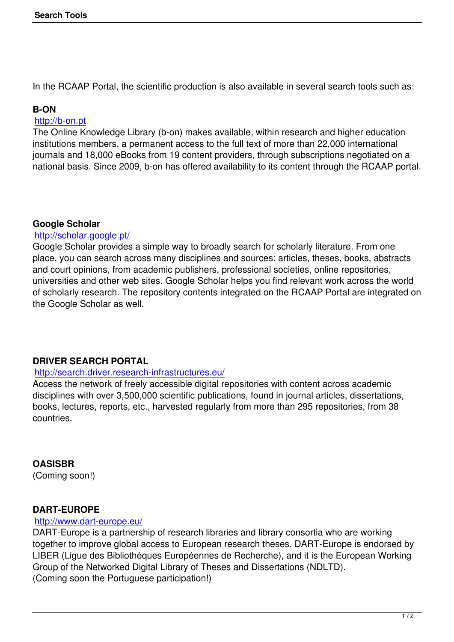In the RCAAP Portal, the scientific production is also available in several search tools such as:

# **B-ON**

#### http://b-on.pt

The Online Knowledge Library (b-on) makes available, within research and higher education institutions members, a permanent access to the full text of more than 22,000 international [journals and 1](http://b-on.pt)8,000 eBooks from 19 content providers, through subscriptions negotiated on a national basis. Since 2009, b-on has offered availability to its content through the RCAAP portal.

# **Google Scholar**

#### http://scholar.google.pt/

Google Scholar provides a simple way to broadly search for scholarly literature. From one place, you can search across many disciplines and sources: articles, theses, books, abstracts [and court opinions, from](http://scholar.google.pt/) academic publishers, professional societies, online repositories, universities and other web sites. Google Scholar helps you find relevant work across the world of scholarly research. The repository contents integrated on the RCAAP Portal are integrated on the Google Scholar as well.

# **DRIVER SEARCH PORTAL**

# http://search.driver.research-infrastructures.eu/

Access the network of freely accessible digital repositories with content across academic disciplines with over 3,500,000 scientific publications, found in journal articles, dissertations, [books, lectures, reports, etc., harvested regularl](http://search.driver.research-infrastructures.eu/)y from more than 295 repositories, from 38 countries.

**OASISBR**

(Coming soon!)

# **DART-EUROPE**

#### http://www.dart-europe.eu/

DART-Europe is a partnership of research libraries and library consortia who are working together to improve global access to European research theses. DART-Europe is endorsed by [LIBER \(Ligue des Bibliothèq](http://www.dart-europe.eu/)ues Européennes de Recherche), and it is the European Working Group of the Networked Digital Library of Theses and Dissertations (NDLTD). (Coming soon the Portuguese participation!)